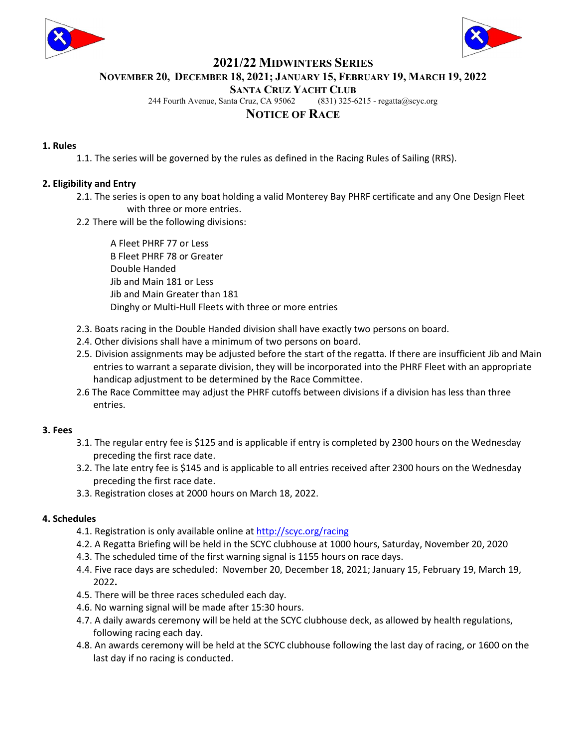



## 2021/22 MIDWINTERS SERIES

NOVEMBER 20, DECEMBER 18, 2021; JANUARY 15, FEBRUARY 19, MARCH 19, 2022

SANTA CRUZ YACHT CLUB

244 Fourth Avenue, Santa Cruz, CA 95062 (831) 325-6215 - regatta@scyc.org

# NOTICE OF RACE

### 1. Rules

1.1. The series will be governed by the rules as defined in the Racing Rules of Sailing (RRS).

## 2. Eligibility and Entry

- 2.1. The series is open to any boat holding a valid Monterey Bay PHRF certificate and any One Design Fleet with three or more entries.
- 2.2 There will be the following divisions:

 A Fleet PHRF 77 or Less B Fleet PHRF 78 or Greater Double Handed Jib and Main 181 or Less Jib and Main Greater than 181 Dinghy or Multi-Hull Fleets with three or more entries

- 2.3. Boats racing in the Double Handed division shall have exactly two persons on board.
- 2.4. Other divisions shall have a minimum of two persons on board.
- 2.5. Division assignments may be adjusted before the start of the regatta. If there are insufficient Jib and Main entries to warrant a separate division, they will be incorporated into the PHRF Fleet with an appropriate handicap adjustment to be determined by the Race Committee.
- 2.6 The Race Committee may adjust the PHRF cutoffs between divisions if a division has less than three entries.

## 3. Fees

- 3.1. The regular entry fee is \$125 and is applicable if entry is completed by 2300 hours on the Wednesday preceding the first race date.
- 3.2. The late entry fee is \$145 and is applicable to all entries received after 2300 hours on the Wednesday preceding the first race date.
- 3.3. Registration closes at 2000 hours on March 18, 2022.

## 4. Schedules

- 4.1. Registration is only available online at http://scyc.org/racing
- 4.2. A Regatta Briefing will be held in the SCYC clubhouse at 1000 hours, Saturday, November 20, 2020
- 4.3. The scheduled time of the first warning signal is 1155 hours on race days.
- 4.4. Five race days are scheduled: November 20, December 18, 2021; January 15, February 19, March 19, 2022.
- 4.5. There will be three races scheduled each day.
- 4.6. No warning signal will be made after 15:30 hours.
- 4.7. A daily awards ceremony will be held at the SCYC clubhouse deck, as allowed by health regulations, following racing each day.
- 4.8. An awards ceremony will be held at the SCYC clubhouse following the last day of racing, or 1600 on the last day if no racing is conducted.